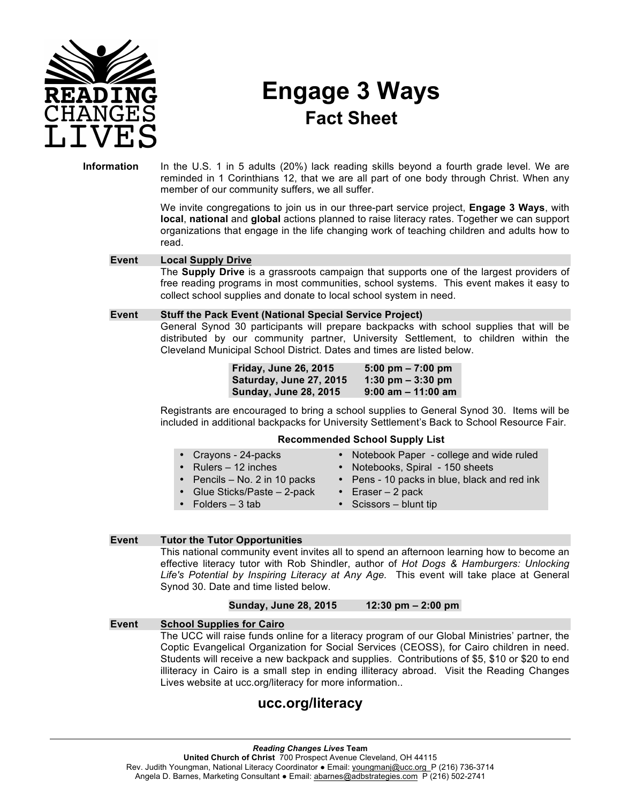

# **Engage 3 Ways Fact Sheet**

**Information** In the U.S. 1 in 5 adults (20%) lack reading skills beyond a fourth grade level. We are reminded in 1 Corinthians 12, that we are all part of one body through Christ. When any member of our community suffers, we all suffer.

> We invite congregations to join us in our three-part service project, **Engage 3 Ways**, with **local**, **national** and **global** actions planned to raise literacy rates. Together we can support organizations that engage in the life changing work of teaching children and adults how to read.

#### **Event Local Supply Drive**

The **Supply Drive** is a grassroots campaign that supports one of the largest providers of free reading programs in most communities, school systems. This event makes it easy to collect school supplies and donate to local school system in need.

#### **Event Stuff the Pack Event (National Special Service Project)**

General Synod 30 participants will prepare backpacks with school supplies that will be distributed by our community partner, University Settlement, to children within the Cleveland Municipal School District. Dates and times are listed below.

> **Friday, June 26, 2015 5:00 pm – 7:00 pm Saturday, June 27, 2015 1:30 pm – 3:30 pm Sunday, June 28, 2015 9:00 am – 11:00 am**

Registrants are encouraged to bring a school supplies to General Synod 30. Items will be included in additional backpacks for University Settlement's Back to School Resource Fair.

#### **Recommended School Supply List**

- Crayons 24-packs
- Rulers 12 inches
- Notebook Paper college and wide ruled
- Notebooks, Spiral 150 sheets
- Pencils No. 2 in 10 packs
- Pens 10 packs in blue, black and red ink • Eraser – 2 pack
- Glue Sticks/Paste 2-pack • Folders – 3 tab
	- Scissors blunt tip

#### **Event Tutor the Tutor Opportunities**

This national community event invites all to spend an afternoon learning how to become an effective literacy tutor with Rob Shindler, author of *Hot Dogs & Hamburgers: Unlocking Life's Potential by Inspiring Literacy at Any Age.* This event will take place at General Synod 30. Date and time listed below.

#### **Sunday, June 28, 2015 12:30 pm – 2:00 pm**

**Event School Supplies for Cairo** The UCC will raise funds online for a literacy program of our Global Ministries' partner, the Coptic Evangelical Organization for Social Services (CEOSS), for Cairo children in need. Students will receive a new backpack and supplies. Contributions of \$5, \$10 or \$20 to end illiteracy in Cairo is a small step in ending illiteracy abroad. Visit the Reading Changes Lives website at ucc.org/literacy for more information..

## **ucc.org/literacy**